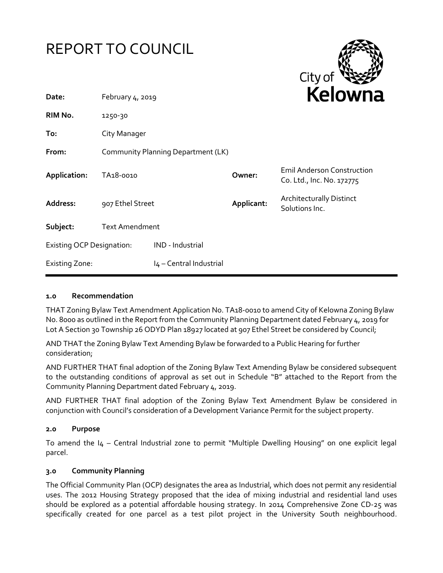



| Date:                            | February $4, 2019$                 |                         |            | <b>NEIUWHE</b>                                                 |
|----------------------------------|------------------------------------|-------------------------|------------|----------------------------------------------------------------|
| RIM No.                          | 1250-30                            |                         |            |                                                                |
| To:                              | City Manager                       |                         |            |                                                                |
| From:                            | Community Planning Department (LK) |                         |            |                                                                |
| Application:                     | TA18-0010                          |                         | Owner:     | <b>Emil Anderson Construction</b><br>Co. Ltd., Inc. No. 172775 |
| Address:                         | 907 Ethel Street                   |                         | Applicant: | <b>Architecturally Distinct</b><br>Solutions Inc.              |
| Subject:                         | <b>Text Amendment</b>              |                         |            |                                                                |
| <b>Existing OCP Designation:</b> |                                    | IND - Industrial        |            |                                                                |
| <b>Existing Zone:</b>            |                                    | I4 - Central Industrial |            |                                                                |

#### **1.0 Recommendation**

THAT Zoning Bylaw Text Amendment Application No. TA18-0010 to amend City of Kelowna Zoning Bylaw No. 8000 as outlined in the Report from the Community Planning Department dated February 4, 2019 for Lot A Section 30 Township 26 ODYD Plan 18927 located at 907 Ethel Street be considered by Council;

AND THAT the Zoning Bylaw Text Amending Bylaw be forwarded to a Public Hearing for further consideration;

AND FURTHER THAT final adoption of the Zoning Bylaw Text Amending Bylaw be considered subsequent to the outstanding conditions of approval as set out in Schedule "B" attached to the Report from the Community Planning Department dated February 4, 2019.

AND FURTHER THAT final adoption of the Zoning Bylaw Text Amendment Bylaw be considered in conjunction with Council's consideration of a Development Variance Permit for the subject property.

#### **2.0 Purpose**

To amend the I4 – Central Industrial zone to permit "Multiple Dwelling Housing" on one explicit legal parcel.

#### **3.0 Community Planning**

The Official Community Plan (OCP) designates the area as Industrial, which does not permit any residential uses. The 2012 Housing Strategy proposed that the idea of mixing industrial and residential land uses should be explored as a potential affordable housing strategy. In 2014 Comprehensive Zone CD-25 was specifically created for one parcel as a test pilot project in the University South neighbourhood.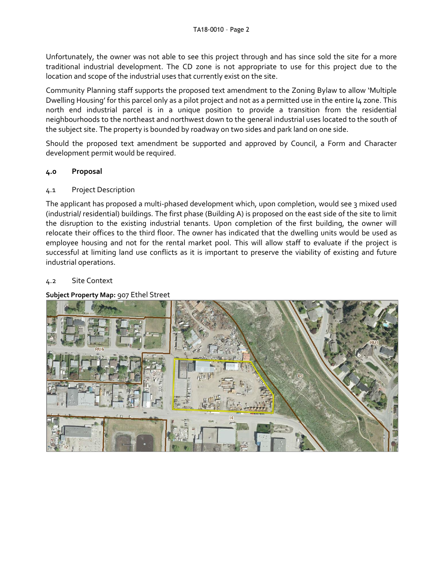Unfortunately, the owner was not able to see this project through and has since sold the site for a more traditional industrial development. The CD zone is not appropriate to use for this project due to the location and scope of the industrial uses that currently exist on the site.

Community Planning staff supports the proposed text amendment to the Zoning Bylaw to allow 'Multiple Dwelling Housing' for this parcel only as a pilot project and not as a permitted use in the entire I4 zone. This north end industrial parcel is in a unique position to provide a transition from the residential neighbourhoods to the northeast and northwest down to the general industrial uses located to the south of the subject site. The property is bounded by roadway on two sides and park land on one side.

Should the proposed text amendment be supported and approved by Council, a Form and Character development permit would be required.

## **4.0 Proposal**

### 4.1 Project Description

The applicant has proposed a multi-phased development which, upon completion, would see 3 mixed used (industrial/ residential) buildings. The first phase (Building A) is proposed on the east side of the site to limit the disruption to the existing industrial tenants. Upon completion of the first building, the owner will relocate their offices to the third floor. The owner has indicated that the dwelling units would be used as employee housing and not for the rental market pool. This will allow staff to evaluate if the project is successful at limiting land use conflicts as it is important to preserve the viability of existing and future industrial operations.

## 4.2 Site Context

#### **Subject Property Map:** 907 Ethel Street